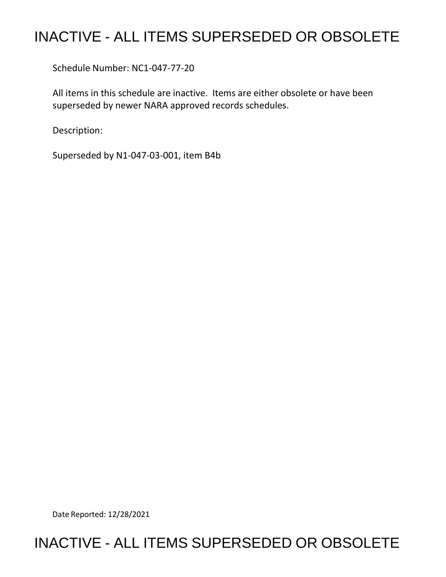# INACTIVE - ALL ITEMS SUPERSEDED OR OBSOLETE

Schedule Number: NC1-047-77-20

 All items in this schedule are inactive. Items are either obsolete or have been superseded by newer NARA approved records schedules.

Description:

Superseded by N1-047-03-001, item B4b

Date Reported: 12/28/2021

## INACTIVE - ALL ITEMS SUPERSEDED OR OBSOLETE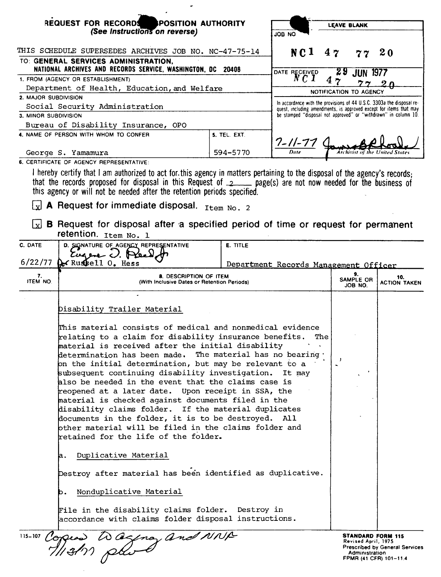|                                                                                                     | <b>REQUEST FOR RECORDS</b>                                                                                                                                                                                                                                                                                                                                                                                                                                                                                                                                                                                                                                                                                                                                                                                                                                                                                                                                                                                                                                          | LEAVE BLANK     |                                                                                                                                       |                        |                                       |                                                                 |  |
|-----------------------------------------------------------------------------------------------------|---------------------------------------------------------------------------------------------------------------------------------------------------------------------------------------------------------------------------------------------------------------------------------------------------------------------------------------------------------------------------------------------------------------------------------------------------------------------------------------------------------------------------------------------------------------------------------------------------------------------------------------------------------------------------------------------------------------------------------------------------------------------------------------------------------------------------------------------------------------------------------------------------------------------------------------------------------------------------------------------------------------------------------------------------------------------|-----------------|---------------------------------------------------------------------------------------------------------------------------------------|------------------------|---------------------------------------|-----------------------------------------------------------------|--|
| <b>POSITION AUTHORITY</b><br>(See Instructions on reverse)                                          |                                                                                                                                                                                                                                                                                                                                                                                                                                                                                                                                                                                                                                                                                                                                                                                                                                                                                                                                                                                                                                                                     | <b>ON BOL</b>   |                                                                                                                                       |                        |                                       |                                                                 |  |
|                                                                                                     | THIS SCHEDULE SUPERSEDES ARCHIVES JOB NO. NC-47-75-14                                                                                                                                                                                                                                                                                                                                                                                                                                                                                                                                                                                                                                                                                                                                                                                                                                                                                                                                                                                                               |                 | NC <sub>1</sub>                                                                                                                       | 47                     | 77                                    | 2 <sub>0</sub>                                                  |  |
| TO: GENERAL SERVICES ADMINISTRATION,<br>NATIONAL ARCHIVES AND RECORDS SERVICE, WASHINGTON, DC 20408 |                                                                                                                                                                                                                                                                                                                                                                                                                                                                                                                                                                                                                                                                                                                                                                                                                                                                                                                                                                                                                                                                     | DATE RECEIVED   | 29                                                                                                                                    | <b>JUN 1977</b>        |                                       |                                                                 |  |
| 1. FROM (AGENCY OR ESTABLISHMENT)                                                                   |                                                                                                                                                                                                                                                                                                                                                                                                                                                                                                                                                                                                                                                                                                                                                                                                                                                                                                                                                                                                                                                                     |                 | N C 1                                                                                                                                 | 4,7                    |                                       |                                                                 |  |
|                                                                                                     | Department of Health, Education, and Welfare                                                                                                                                                                                                                                                                                                                                                                                                                                                                                                                                                                                                                                                                                                                                                                                                                                                                                                                                                                                                                        |                 |                                                                                                                                       | NOTIFICATION TO AGENCY |                                       |                                                                 |  |
| 2. MAJOR SUBDIVISION                                                                                |                                                                                                                                                                                                                                                                                                                                                                                                                                                                                                                                                                                                                                                                                                                                                                                                                                                                                                                                                                                                                                                                     |                 | In accordance with the provisions of 44 U.S.C. 3303a the disposal re-                                                                 |                        |                                       |                                                                 |  |
| 3. MINOR SUBDIVISION                                                                                | Social Security Administration                                                                                                                                                                                                                                                                                                                                                                                                                                                                                                                                                                                                                                                                                                                                                                                                                                                                                                                                                                                                                                      |                 | quest, including amendments, is approved except for items that may<br>be stamped "disposal not approved" or "withdrawn" in column 10. |                        |                                       |                                                                 |  |
|                                                                                                     | Bureau of Disability Insurance, OPO                                                                                                                                                                                                                                                                                                                                                                                                                                                                                                                                                                                                                                                                                                                                                                                                                                                                                                                                                                                                                                 |                 |                                                                                                                                       |                        |                                       |                                                                 |  |
|                                                                                                     | 4. NAME OF PERSON WITH WHOM TO CONFER                                                                                                                                                                                                                                                                                                                                                                                                                                                                                                                                                                                                                                                                                                                                                                                                                                                                                                                                                                                                                               | 5. TEL. EXT.    | $\frac{7-11-77}{2}$                                                                                                                   |                        |                                       |                                                                 |  |
| George S. Yamamura                                                                                  |                                                                                                                                                                                                                                                                                                                                                                                                                                                                                                                                                                                                                                                                                                                                                                                                                                                                                                                                                                                                                                                                     | 594-5770        |                                                                                                                                       |                        |                                       |                                                                 |  |
|                                                                                                     | 6. CERTIFICATE OF AGENCY REPRESENTATIVE:<br>I hereby certify that I am authorized to act for this agency in matters pertaining to the disposal of the agency's records:<br>that the records proposed for disposal in this Request of 2 page(s) are not now needed for the business of<br>this agency or will not be needed after the retention periods specified.                                                                                                                                                                                                                                                                                                                                                                                                                                                                                                                                                                                                                                                                                                   |                 |                                                                                                                                       |                        |                                       |                                                                 |  |
|                                                                                                     | $\boxed{\mathbf{x}}$ A Request for immediate disposal. $_{\text{Item No. 2}}$                                                                                                                                                                                                                                                                                                                                                                                                                                                                                                                                                                                                                                                                                                                                                                                                                                                                                                                                                                                       |                 |                                                                                                                                       |                        |                                       |                                                                 |  |
| l xl                                                                                                | <b>B</b> Request for disposal after a specified period of time or request for permanent<br>retention. Item No. 1                                                                                                                                                                                                                                                                                                                                                                                                                                                                                                                                                                                                                                                                                                                                                                                                                                                                                                                                                    |                 |                                                                                                                                       |                        |                                       |                                                                 |  |
| C. DATE                                                                                             | D. SIGNATURE OF AGENCY REPRESENTATIVE<br>Eugene J. Plea                                                                                                                                                                                                                                                                                                                                                                                                                                                                                                                                                                                                                                                                                                                                                                                                                                                                                                                                                                                                             | <b>E. TITLE</b> |                                                                                                                                       |                        |                                       |                                                                 |  |
| 6/22/77                                                                                             | Ar Russell 0. Hess                                                                                                                                                                                                                                                                                                                                                                                                                                                                                                                                                                                                                                                                                                                                                                                                                                                                                                                                                                                                                                                  |                 | Department Records Management Officer                                                                                                 |                        |                                       |                                                                 |  |
| 7.<br>ITEM NO.                                                                                      | 8. DESCRIPTION OF ITEM<br>(With Inclusive Dates or Retention Periods)                                                                                                                                                                                                                                                                                                                                                                                                                                                                                                                                                                                                                                                                                                                                                                                                                                                                                                                                                                                               |                 |                                                                                                                                       |                        | 9.<br>SAMPLE OR<br>JOB NO.            | 10.<br><b>ACTION TAKEN</b>                                      |  |
|                                                                                                     | Disability Trailer Material<br>This material consists of medical and nonmedical evidence<br>relating to a claim for disability insurance benefits.<br>The<br>material is received after the initial disability<br>determination has been made. The material has no bearing t<br>on the initial determination, but may be relevant to a<br>subsequent continuing disability investigation.<br>It may<br>also be needed in the event that the claims case is<br>reopened at a later date. Upon receipt in SSA, the<br>material is checked against documents filed in the<br>disability claims folder. If the material duplicates<br>documents in the folder, it is to be destroyed. All<br>bther material will be filed in the claims folder and<br>retained for the life of the folder.<br>Duplicative Material<br>а.<br>Destroy after material has been identified as duplicative.<br>Nonduplicative Material<br>b.<br>File in the disability claims folder. Destroy in<br>accordance with claims folder disposal instructions.<br>115-107 Coppeas a agency and NNR |                 |                                                                                                                                       | ,                      |                                       | <b>STANDARD FORM 115</b>                                        |  |
|                                                                                                     |                                                                                                                                                                                                                                                                                                                                                                                                                                                                                                                                                                                                                                                                                                                                                                                                                                                                                                                                                                                                                                                                     |                 |                                                                                                                                       |                        | Revised April, 1975<br>Administration | <b>Prescribed by General Services</b><br>FPMR (41 CFR) 101-11.4 |  |

 $\sim$ 

 $\bar{\phantom{a}}$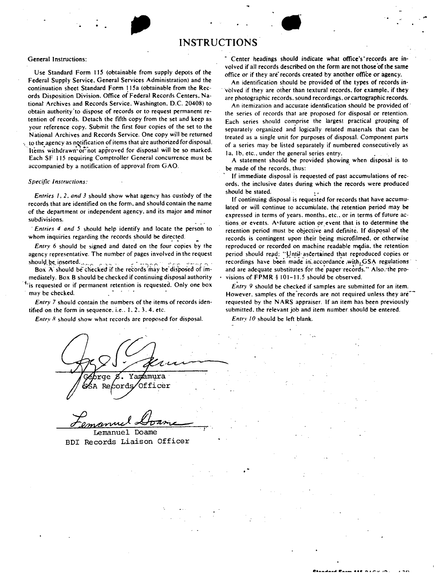## **INSTRUCTIONS**

### General Instructions:

Use Standard Form 115 (obtainable from supply depots of the Federal Supply Service. General Services Administration) and the continuation sheet Standard Form 115a (obtainable from the Records Disposition Division. Office of Federal Records Centers. Nationat Archives and Records Service. Washington. D.C. 20408) to obtain authority'to dispose of records or to request permanent retention of records. Detach the fifth copy from the set and keep as your reference copy. Submit the first four copies of the set to the National Archives and Records Service. One copy will be returned to the agency as notification of items that are authorized for disposal. Items withdrawn or not approved for disposal will be so marked. Each SF 115 requiring Comptroller General concurrence must be accompanied by a notification of approval from GAO.

#### *Specific Instructions:*

*Entries 1, 2, and 3 should show what agency has custody of the* records that are identified on the form. and should contain the name of the department or independent agency. and its major and minor subdivisions\_.

· *Entries 4 and 5* should help identify and locate the person to whom inquiries regarding the records should be directed.

*Entry 6* should be signed and dated on the four copies by the agency representative. The number of pages involved in the request should be inserted.

Box  $\overrightarrow{A}$  should be checked if the records may be disposed of immediately. Box B should be checked if continuing disposal authority

is requested or if permanent retention is requested. Only one box may be checked.

*Entry* 7 should contain the numbers of the items of records identified on the form in sequence, i.e.,  $1, 2, 3, 4$ , etc.

*Entry 8* should show what records are proposed for disposal.

Yamamura 6ords, Officer Re

Lemanuel Doame

BDI Records Liaison Officer

Center headings should indicate what office's' records are involved if all records described on the form are not those of the same office or if they are records created by another office or agency.

• ,..

An identification should be provided of the types of records in volved if they are other than textural records, for example, if they are photographic records. sound recordings. or cartographic **records.** 

An itemization and accurate identification should be provided of· the series of records that are proposed for disposal or retention. Each series should comprise the largest practical grouping of separately organized and logically related matenals that can be treated as a single unit for purposes of disposal. Component parts of a series may be listed separately if numbered consecutively as la, 1b, etc., under the general series entry.

A statement should be provided showing when disposal is to be made of the records. thus:

If immediate disposal is requested of past accumulations of records. the inclusive dates during which the records were produced should be stated.  $\sim$  .

If continuing disposal is requested for records that have accumulated or will continue to accumulate, the retention period may be expressed in terms of years. months. etc., or in terms of future actions or events. A•future action or event that is to determine the retention period must be objective and definite. If disposal of the records is contingent uporr their being microfilmed. or otherwise reproduced or recorded on machine readable media, the retention period should read: "Until ascertained that reproduced copies or  $recordings$  have been made in accordance with  $GSA$  regulations and are adequate substitutes for the paper records." Also, the provisions of **FPMR** § 101-11.5 should be observed.

*Entry 9* should be checked if samples are submitted for an item. However, samples of the records are not required unless they are<sup>\*\*</sup> requested by the N ARS appraiser. If an item has been previously submitted. the relevant job and item number. should be entered.

*Entry JO* should be left blank.